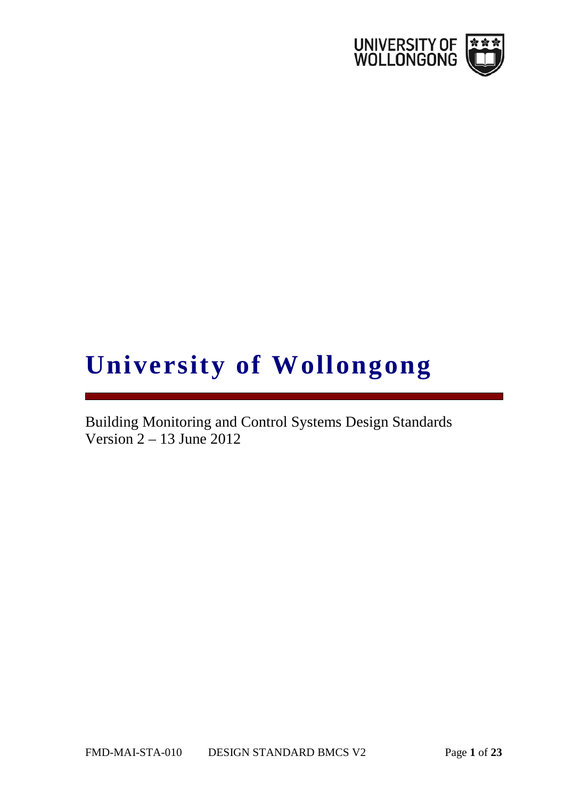

# **University of Wollongong**

Building Monitoring and Control Systems Design Standards Version 2 – 13 June 2012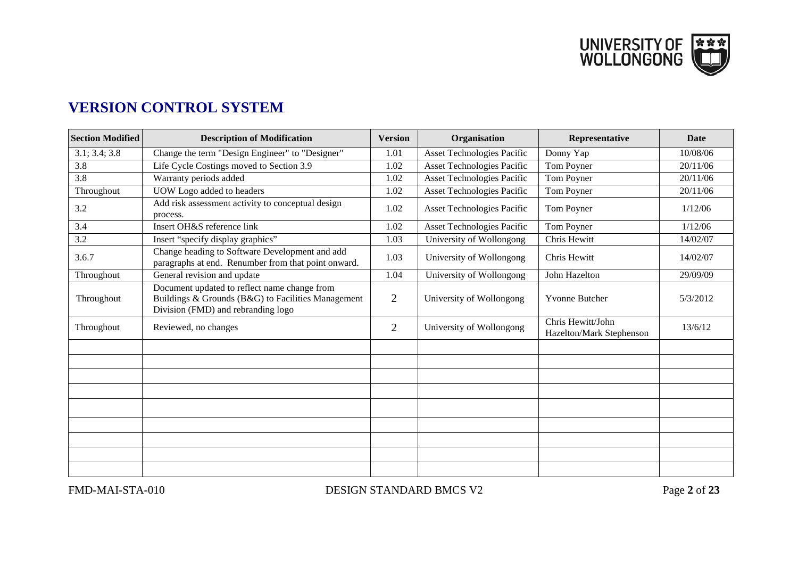UNIVERSITY OF **EXAM**<br>WOLLONGONG

# **VERSION CONTROL SYSTEM**

| <b>Section Modified</b> | <b>Description of Modification</b>                                                                                                       | <b>Version</b> | Organisation                      | Representative                                | <b>Date</b> |
|-------------------------|------------------------------------------------------------------------------------------------------------------------------------------|----------------|-----------------------------------|-----------------------------------------------|-------------|
| 3.1; 3.4; 3.8           | Change the term "Design Engineer" to "Designer"                                                                                          | 1.01           | <b>Asset Technologies Pacific</b> | Donny Yap                                     | 10/08/06    |
| 3.8                     | Life Cycle Costings moved to Section 3.9                                                                                                 | 1.02           | <b>Asset Technologies Pacific</b> | Tom Poyner                                    | 20/11/06    |
| 3.8                     | Warranty periods added                                                                                                                   | 1.02           | <b>Asset Technologies Pacific</b> | Tom Poyner                                    | 20/11/06    |
| Throughout              | UOW Logo added to headers                                                                                                                | 1.02           | <b>Asset Technologies Pacific</b> | Tom Poyner                                    | 20/11/06    |
| 3.2                     | Add risk assessment activity to conceptual design<br>process.                                                                            | 1.02           | <b>Asset Technologies Pacific</b> | Tom Poyner                                    | 1/12/06     |
| 3.4                     | Insert OH&S reference link                                                                                                               | 1.02           | <b>Asset Technologies Pacific</b> | Tom Poyner                                    | 1/12/06     |
| 3.2                     | Insert "specify display graphics"                                                                                                        | 1.03           | University of Wollongong          | Chris Hewitt                                  | 14/02/07    |
| 3.6.7                   | Change heading to Software Development and add<br>paragraphs at end. Renumber from that point onward.                                    | 1.03           | University of Wollongong          | Chris Hewitt                                  | 14/02/07    |
| Throughout              | General revision and update                                                                                                              | 1.04           | University of Wollongong          | John Hazelton                                 | 29/09/09    |
| Throughout              | Document updated to reflect name change from<br>Buildings & Grounds (B&G) to Facilities Management<br>Division (FMD) and rebranding logo | $\overline{2}$ | University of Wollongong          | <b>Yvonne Butcher</b>                         | 5/3/2012    |
| Throughout              | Reviewed, no changes                                                                                                                     | $\overline{2}$ | University of Wollongong          | Chris Hewitt/John<br>Hazelton/Mark Stephenson | 13/6/12     |
|                         |                                                                                                                                          |                |                                   |                                               |             |
|                         |                                                                                                                                          |                |                                   |                                               |             |
|                         |                                                                                                                                          |                |                                   |                                               |             |
|                         |                                                                                                                                          |                |                                   |                                               |             |
|                         |                                                                                                                                          |                |                                   |                                               |             |
|                         |                                                                                                                                          |                |                                   |                                               |             |
|                         |                                                                                                                                          |                |                                   |                                               |             |
|                         |                                                                                                                                          |                |                                   |                                               |             |
|                         |                                                                                                                                          |                |                                   |                                               |             |
|                         |                                                                                                                                          |                |                                   |                                               |             |

FMD-MAI-STA-010 DESIGN STANDARD BMCS V2 Page 2 of 23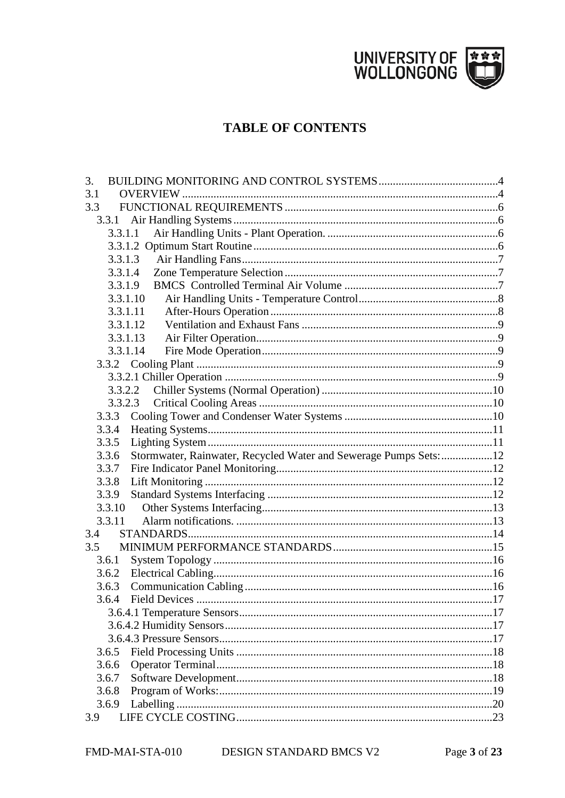

# **TABLE OF CONTENTS**

| 3.  |                                                                           |  |
|-----|---------------------------------------------------------------------------|--|
| 3.1 |                                                                           |  |
| 3.3 |                                                                           |  |
|     | 3.3.1                                                                     |  |
|     | 3.3.1.1                                                                   |  |
|     |                                                                           |  |
|     | 3.3.1.3                                                                   |  |
|     | 3.3.1.4                                                                   |  |
|     | 3.3.1.9                                                                   |  |
|     | 3.3.1.10                                                                  |  |
|     | 3.3.1.11                                                                  |  |
|     | 3.3.1.12                                                                  |  |
|     | 3.3.1.13                                                                  |  |
|     | 3.3.1.14                                                                  |  |
|     |                                                                           |  |
|     |                                                                           |  |
|     | 3.3.2.2                                                                   |  |
|     | 3.3.2.3                                                                   |  |
|     | 3.3.3                                                                     |  |
|     | 3.3.4                                                                     |  |
|     | 3.3.5                                                                     |  |
|     | Stormwater, Rainwater, Recycled Water and Sewerage Pumps Sets:12<br>3.3.6 |  |
|     | 3.3.7                                                                     |  |
|     | 3.3.8                                                                     |  |
|     | 3.3.9                                                                     |  |
|     | 3.3.10                                                                    |  |
|     | 3.3.11                                                                    |  |
| 3.4 |                                                                           |  |
| 3.5 |                                                                           |  |
|     | 3.6.1                                                                     |  |
|     |                                                                           |  |
|     | 3.6.3                                                                     |  |
|     | 3.6.4                                                                     |  |
|     |                                                                           |  |
|     |                                                                           |  |
|     |                                                                           |  |
|     | 3.6.5                                                                     |  |
|     | 3.6.6                                                                     |  |
|     | 3.6.7                                                                     |  |
|     | 3.6.8                                                                     |  |
|     | 3.6.9                                                                     |  |
| 3.9 |                                                                           |  |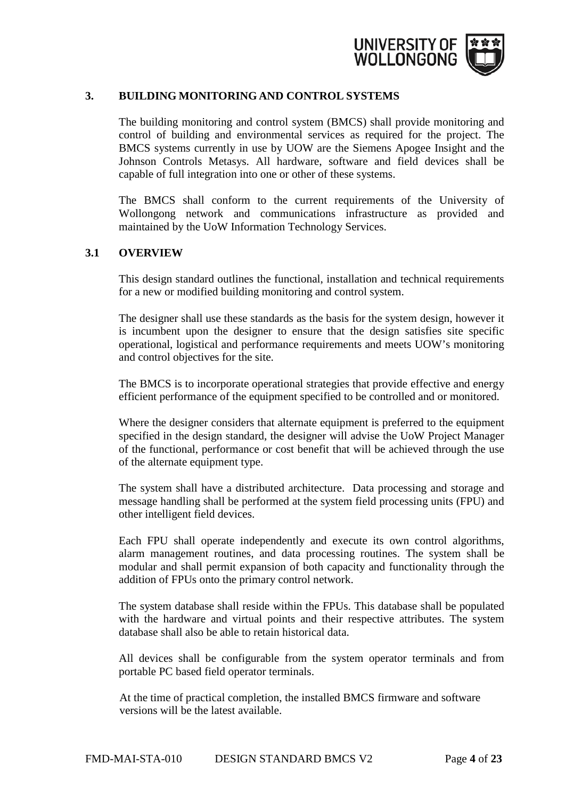

#### <span id="page-3-0"></span>**3. BUILDING MONITORING AND CONTROL SYSTEMS**

The building monitoring and control system (BMCS) shall provide monitoring and control of building and environmental services as required for the project. The BMCS systems currently in use by UOW are the Siemens Apogee Insight and the Johnson Controls Metasys. All hardware, software and field devices shall be capable of full integration into one or other of these systems.

The BMCS shall conform to the current requirements of the University of Wollongong network and communications infrastructure as provided and maintained by the UoW Information Technology Services.

## <span id="page-3-1"></span>**3.1 OVERVIEW**

This design standard outlines the functional, installation and technical requirements for a new or modified building monitoring and control system.

The designer shall use these standards as the basis for the system design, however it is incumbent upon the designer to ensure that the design satisfies site specific operational, logistical and performance requirements and meets UOW's monitoring and control objectives for the site.

The BMCS is to incorporate operational strategies that provide effective and energy efficient performance of the equipment specified to be controlled and or monitored.

Where the designer considers that alternate equipment is preferred to the equipment specified in the design standard, the designer will advise the UoW Project Manager of the functional, performance or cost benefit that will be achieved through the use of the alternate equipment type.

The system shall have a distributed architecture. Data processing and storage and message handling shall be performed at the system field processing units (FPU) and other intelligent field devices.

Each FPU shall operate independently and execute its own control algorithms, alarm management routines, and data processing routines. The system shall be modular and shall permit expansion of both capacity and functionality through the addition of FPUs onto the primary control network.

The system database shall reside within the FPUs. This database shall be populated with the hardware and virtual points and their respective attributes. The system database shall also be able to retain historical data.

All devices shall be configurable from the system operator terminals and from portable PC based field operator terminals.

At the time of practical completion, the installed BMCS firmware and software versions will be the latest available.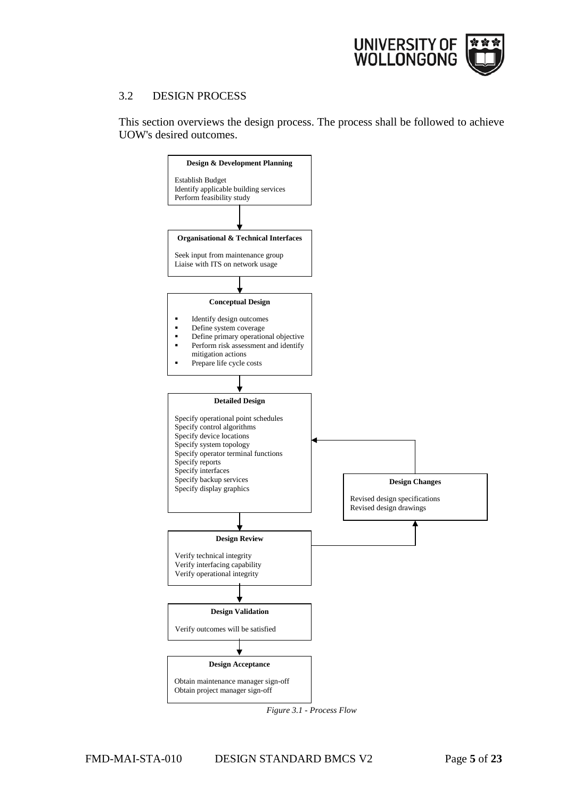

#### 3.2 DESIGN PROCESS

This section overviews the design process. The process shall be followed to achieve UOW's desired outcomes.



*Figure 3.1 - Process Flow*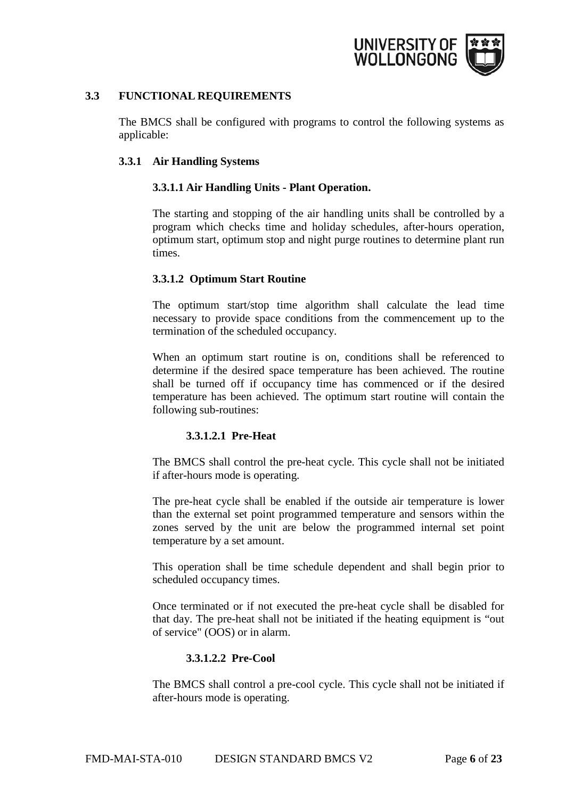

#### <span id="page-5-0"></span>**3.3 FUNCTIONAL REQUIREMENTS**

The BMCS shall be configured with programs to control the following systems as applicable:

#### <span id="page-5-2"></span><span id="page-5-1"></span>**3.3.1 Air Handling Systems**

## **3.3.1.1 Air Handling Units - Plant Operation.**

The starting and stopping of the air handling units shall be controlled by a program which checks time and holiday schedules, after-hours operation, optimum start, optimum stop and night purge routines to determine plant run times.

## <span id="page-5-3"></span>**3.3.1.2 Optimum Start Routine**

The optimum start/stop time algorithm shall calculate the lead time necessary to provide space conditions from the commencement up to the termination of the scheduled occupancy.

When an optimum start routine is on, conditions shall be referenced to determine if the desired space temperature has been achieved. The routine shall be turned off if occupancy time has commenced or if the desired temperature has been achieved. The optimum start routine will contain the following sub-routines:

#### **3.3.1.2.1 Pre-Heat**

The BMCS shall control the pre-heat cycle. This cycle shall not be initiated if after-hours mode is operating.

The pre-heat cycle shall be enabled if the outside air temperature is lower than the external set point programmed temperature and sensors within the zones served by the unit are below the programmed internal set point temperature by a set amount.

This operation shall be time schedule dependent and shall begin prior to scheduled occupancy times.

Once terminated or if not executed the pre-heat cycle shall be disabled for that day. The pre-heat shall not be initiated if the heating equipment is "out of service" (OOS) or in alarm.

#### **3.3.1.2.2 Pre-Cool**

The BMCS shall control a pre-cool cycle. This cycle shall not be initiated if after-hours mode is operating.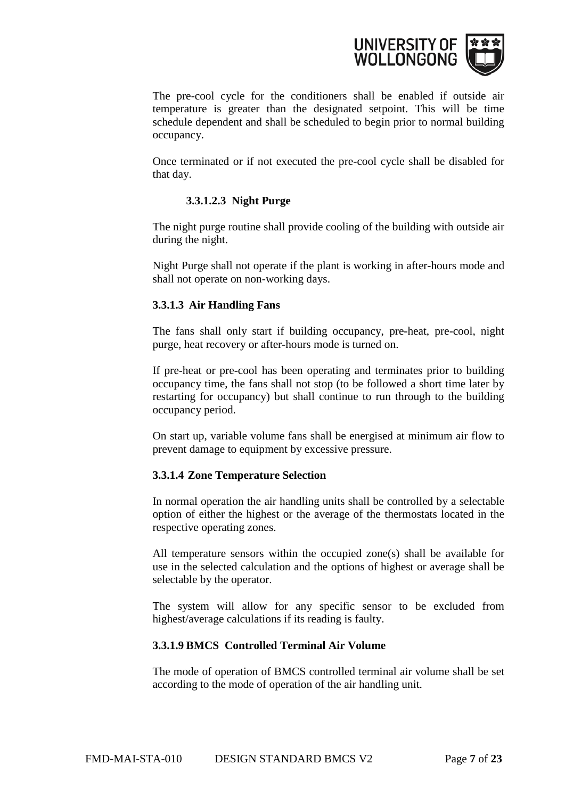

The pre-cool cycle for the conditioners shall be enabled if outside air temperature is greater than the designated setpoint. This will be time schedule dependent and shall be scheduled to begin prior to normal building occupancy.

Once terminated or if not executed the pre-cool cycle shall be disabled for that day.

# **3.3.1.2.3 Night Purge**

The night purge routine shall provide cooling of the building with outside air during the night.

Night Purge shall not operate if the plant is working in after-hours mode and shall not operate on non-working days.

# <span id="page-6-0"></span>**3.3.1.3 Air Handling Fans**

The fans shall only start if building occupancy, pre-heat, pre-cool, night purge, heat recovery or after-hours mode is turned on.

If pre-heat or pre-cool has been operating and terminates prior to building occupancy time, the fans shall not stop (to be followed a short time later by restarting for occupancy) but shall continue to run through to the building occupancy period.

On start up, variable volume fans shall be energised at minimum air flow to prevent damage to equipment by excessive pressure.

# <span id="page-6-1"></span>**3.3.1.4 Zone Temperature Selection**

In normal operation the air handling units shall be controlled by a selectable option of either the highest or the average of the thermostats located in the respective operating zones.

All temperature sensors within the occupied zone(s) shall be available for use in the selected calculation and the options of highest or average shall be selectable by the operator.

The system will allow for any specific sensor to be excluded from highest/average calculations if its reading is faulty.

#### <span id="page-6-2"></span>**3.3.1.9 BMCS Controlled Terminal Air Volume**

The mode of operation of BMCS controlled terminal air volume shall be set according to the mode of operation of the air handling unit.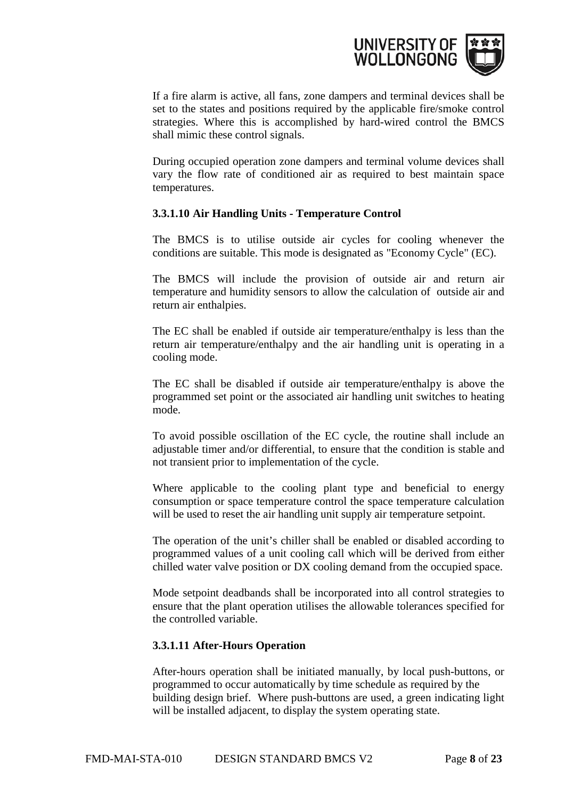

If a fire alarm is active, all fans, zone dampers and terminal devices shall be set to the states and positions required by the applicable fire/smoke control strategies. Where this is accomplished by hard-wired control the BMCS shall mimic these control signals.

During occupied operation zone dampers and terminal volume devices shall vary the flow rate of conditioned air as required to best maintain space temperatures.

#### <span id="page-7-0"></span>**3.3.1.10 Air Handling Units - Temperature Control**

The BMCS is to utilise outside air cycles for cooling whenever the conditions are suitable. This mode is designated as "Economy Cycle" (EC).

The BMCS will include the provision of outside air and return air temperature and humidity sensors to allow the calculation of outside air and return air enthalpies.

The EC shall be enabled if outside air temperature/enthalpy is less than the return air temperature/enthalpy and the air handling unit is operating in a cooling mode.

The EC shall be disabled if outside air temperature/enthalpy is above the programmed set point or the associated air handling unit switches to heating mode.

To avoid possible oscillation of the EC cycle, the routine shall include an adjustable timer and/or differential, to ensure that the condition is stable and not transient prior to implementation of the cycle.

Where applicable to the cooling plant type and beneficial to energy consumption or space temperature control the space temperature calculation will be used to reset the air handling unit supply air temperature setpoint.

The operation of the unit's chiller shall be enabled or disabled according to programmed values of a unit cooling call which will be derived from either chilled water valve position or DX cooling demand from the occupied space.

Mode setpoint deadbands shall be incorporated into all control strategies to ensure that the plant operation utilises the allowable tolerances specified for the controlled variable.

#### <span id="page-7-1"></span>**3.3.1.11 After-Hours Operation**

After-hours operation shall be initiated manually, by local push-buttons, or programmed to occur automatically by time schedule as required by the building design brief. Where push-buttons are used, a green indicating light will be installed adjacent, to display the system operating state.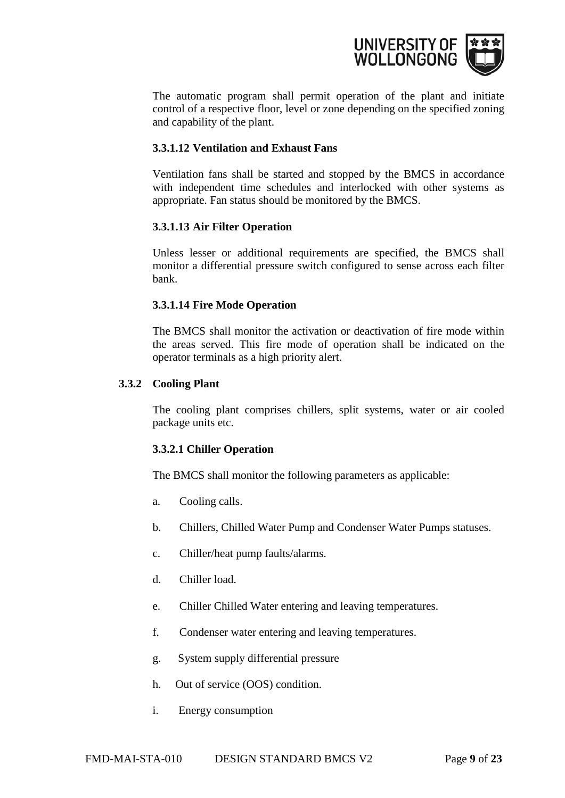

The automatic program shall permit operation of the plant and initiate control of a respective floor, level or zone depending on the specified zoning and capability of the plant.

#### <span id="page-8-0"></span>**3.3.1.12 Ventilation and Exhaust Fans**

Ventilation fans shall be started and stopped by the BMCS in accordance with independent time schedules and interlocked with other systems as appropriate. Fan status should be monitored by the BMCS.

#### <span id="page-8-1"></span>**3.3.1.13 Air Filter Operation**

Unless lesser or additional requirements are specified, the BMCS shall monitor a differential pressure switch configured to sense across each filter bank.

#### <span id="page-8-2"></span>**3.3.1.14 Fire Mode Operation**

The BMCS shall monitor the activation or deactivation of fire mode within the areas served. This fire mode of operation shall be indicated on the operator terminals as a high priority alert.

#### <span id="page-8-3"></span>**3.3.2 Cooling Plant**

The cooling plant comprises chillers, split systems, water or air cooled package units etc.

#### <span id="page-8-4"></span>**3.3.2.1 Chiller Operation**

The BMCS shall monitor the following parameters as applicable:

- a. Cooling calls.
- b. Chillers, Chilled Water Pump and Condenser Water Pumps statuses.
- c. Chiller/heat pump faults/alarms.
- d. Chiller load.
- e. Chiller Chilled Water entering and leaving temperatures.
- f. Condenser water entering and leaving temperatures.
- g. System supply differential pressure
- h. Out of service (OOS) condition.
- i. Energy consumption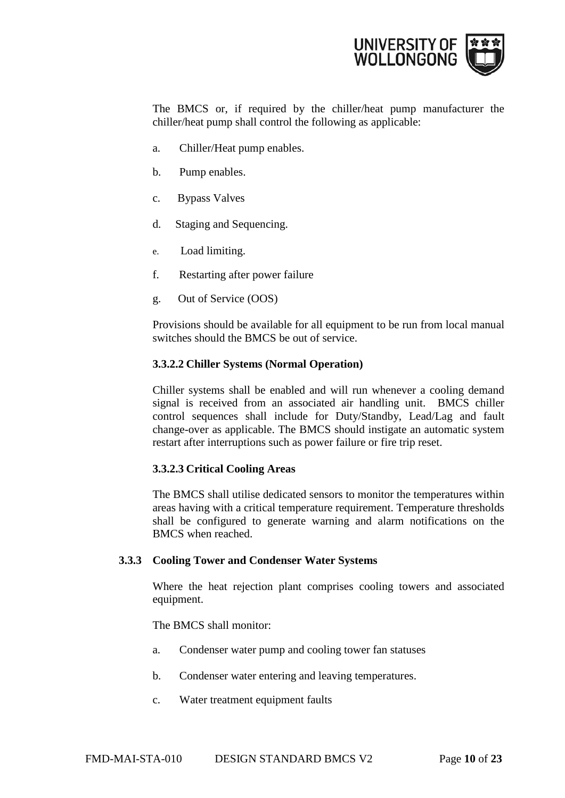

The BMCS or, if required by the chiller/heat pump manufacturer the chiller/heat pump shall control the following as applicable:

- a. Chiller/Heat pump enables.
- b. Pump enables.
- c. Bypass Valves
- d. Staging and Sequencing.
- e. Load limiting.
- f. Restarting after power failure
- g. Out of Service (OOS)

Provisions should be available for all equipment to be run from local manual switches should the BMCS be out of service.

#### <span id="page-9-0"></span>**3.3.2.2 Chiller Systems (Normal Operation)**

Chiller systems shall be enabled and will run whenever a cooling demand signal is received from an associated air handling unit. BMCS chiller control sequences shall include for Duty/Standby, Lead/Lag and fault change-over as applicable. The BMCS should instigate an automatic system restart after interruptions such as power failure or fire trip reset.

#### <span id="page-9-1"></span>**3.3.2.3 Critical Cooling Areas**

The BMCS shall utilise dedicated sensors to monitor the temperatures within areas having with a critical temperature requirement. Temperature thresholds shall be configured to generate warning and alarm notifications on the BMCS when reached.

#### <span id="page-9-2"></span>**3.3.3 Cooling Tower and Condenser Water Systems**

Where the heat rejection plant comprises cooling towers and associated equipment.

The BMCS shall monitor:

- a. Condenser water pump and cooling tower fan statuses
- b. Condenser water entering and leaving temperatures.
- c. Water treatment equipment faults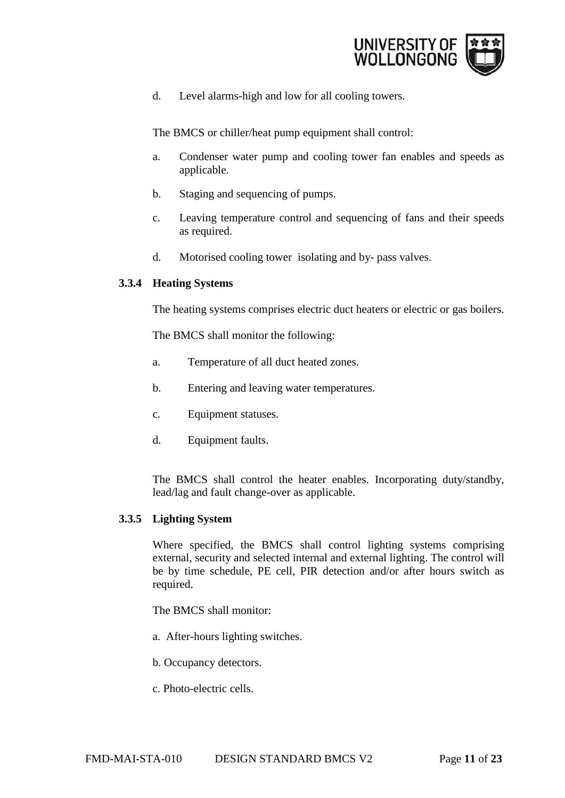

d. Level alarms-high and low for all cooling towers.

The BMCS or chiller/heat pump equipment shall control:

- a. Condenser water pump and cooling tower fan enables and speeds as applicable.
- b. Staging and sequencing of pumps.
- c. Leaving temperature control and sequencing of fans and their speeds as required.
- d. Motorised cooling tower isolating and by- pass valves.

#### <span id="page-10-0"></span>**3.3.4 Heating Systems**

The heating systems comprises electric duct heaters or electric or gas boilers.

The BMCS shall monitor the following:

- a. Temperature of all duct heated zones.
- b. Entering and leaving water temperatures.
- c. Equipment statuses.
- d. Equipment faults.

The BMCS shall control the heater enables. Incorporating duty/standby, lead/lag and fault change-over as applicable.

#### <span id="page-10-1"></span>**3.3.5 Lighting System**

Where specified, the BMCS shall control lighting systems comprising external, security and selected internal and external lighting. The control will be by time schedule, PE cell, PIR detection and/or after hours switch as required.

The BMCS shall monitor:

- a. After-hours lighting switches.
- b. Occupancy detectors.
- c. Photo-electric cells.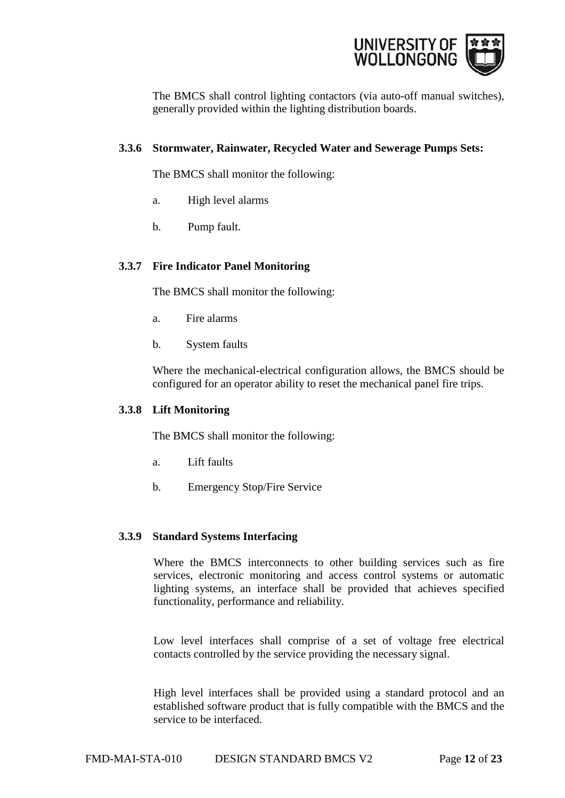

The BMCS shall control lighting contactors (via auto-off manual switches), generally provided within the lighting distribution boards.

#### <span id="page-11-0"></span>**3.3.6 Stormwater, Rainwater, Recycled Water and Sewerage Pumps Sets:**

The BMCS shall monitor the following:

- a. High level alarms
- b. Pump fault.

## <span id="page-11-1"></span>**3.3.7 Fire Indicator Panel Monitoring**

The BMCS shall monitor the following:

- a. Fire alarms
- b. System faults

Where the mechanical-electrical configuration allows, the BMCS should be configured for an operator ability to reset the mechanical panel fire trips.

#### <span id="page-11-2"></span>**3.3.8 Lift Monitoring**

The BMCS shall monitor the following:

- a. Lift faults
- b. Emergency Stop/Fire Service

# <span id="page-11-3"></span>**3.3.9 Standard Systems Interfacing**

Where the BMCS interconnects to other building services such as fire services, electronic monitoring and access control systems or automatic lighting systems, an interface shall be provided that achieves specified functionality, performance and reliability.

Low level interfaces shall comprise of a set of voltage free electrical contacts controlled by the service providing the necessary signal.

High level interfaces shall be provided using a standard protocol and an established software product that is fully compatible with the BMCS and the service to be interfaced.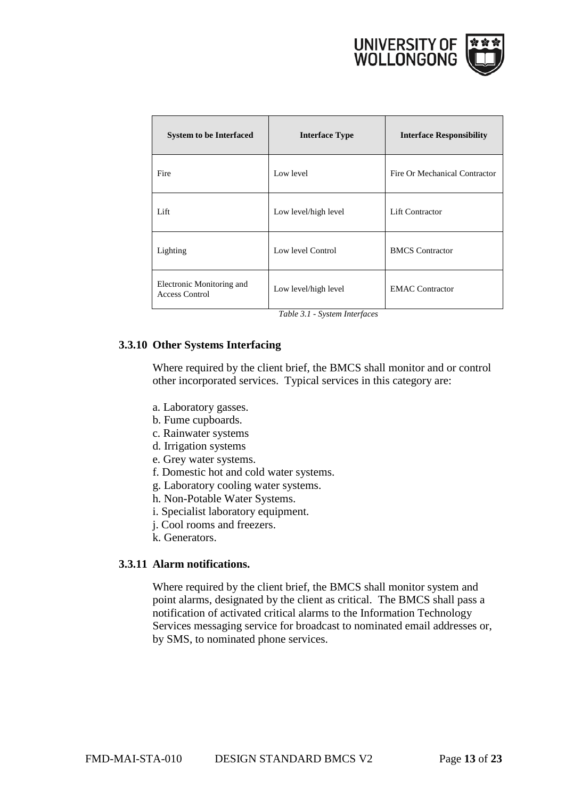

| <b>System to be Interfaced</b>              | <b>Interface Type</b> | <b>Interface Responsibility</b> |
|---------------------------------------------|-----------------------|---------------------------------|
| Fire                                        | Low level             | Fire Or Mechanical Contractor   |
| Lift                                        | Low level/high level  | Lift Contractor                 |
| Lighting                                    | Low level Control     | <b>BMCS</b> Contractor          |
| Electronic Monitoring and<br>Access Control | Low level/high level  | <b>EMAC</b> Contractor          |

*Table 3.1 - System Interfaces*

#### <span id="page-12-0"></span>**3.3.10 Other Systems Interfacing**

Where required by the client brief, the BMCS shall monitor and or control other incorporated services. Typical services in this category are:

- a. Laboratory gasses.
- b. Fume cupboards.
- c. Rainwater systems
- d. Irrigation systems
- e. Grey water systems.
- f. Domestic hot and cold water systems.
- g. Laboratory cooling water systems.
- h. Non-Potable Water Systems.
- i. Specialist laboratory equipment.
- j. Cool rooms and freezers.
- k. Generators.

#### <span id="page-12-1"></span>**3.3.11 Alarm notifications.**

Where required by the client brief, the BMCS shall monitor system and point alarms, designated by the client as critical. The BMCS shall pass a notification of activated critical alarms to the Information Technology Services messaging service for broadcast to nominated email addresses or, by SMS, to nominated phone services.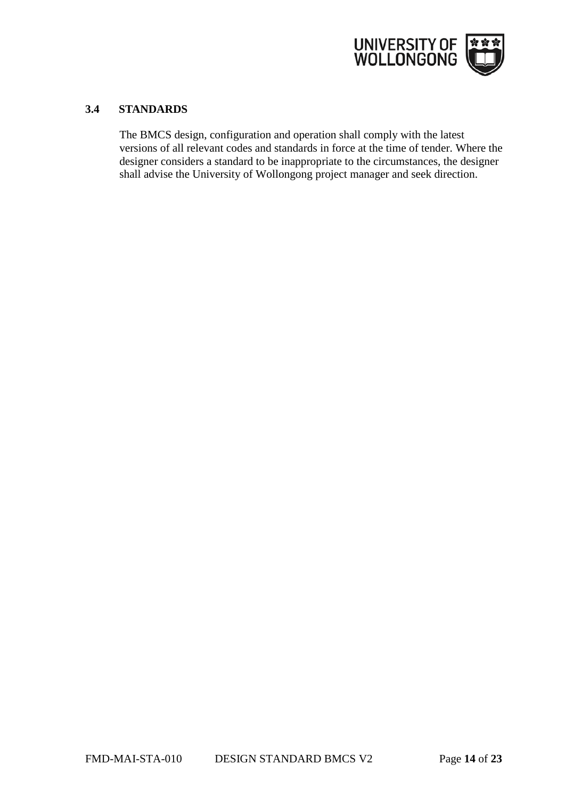

# <span id="page-13-0"></span>**3.4 STANDARDS**

The BMCS design, configuration and operation shall comply with the latest versions of all relevant codes and standards in force at the time of tender. Where the designer considers a standard to be inappropriate to the circumstances, the designer shall advise the University of Wollongong project manager and seek direction.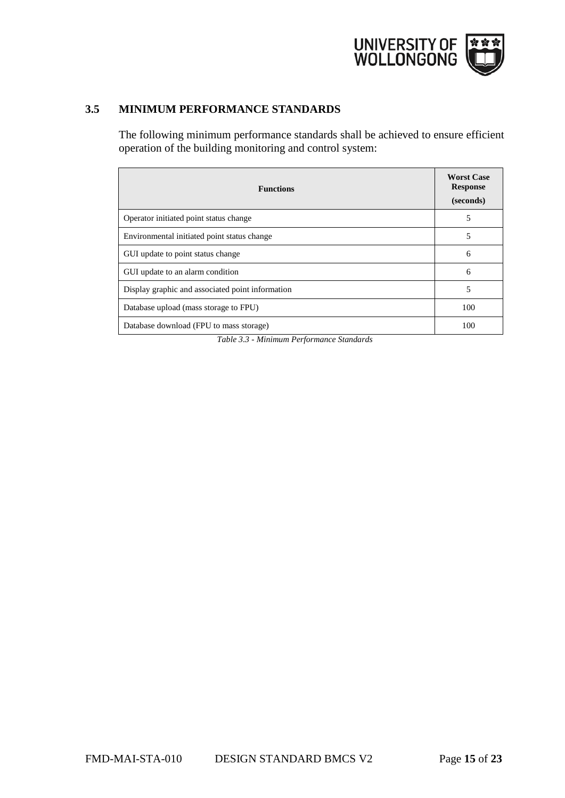

# <span id="page-14-0"></span>**3.5 MINIMUM PERFORMANCE STANDARDS**

The following minimum performance standards shall be achieved to ensure efficient operation of the building monitoring and control system:

| <b>Functions</b>                                 | <b>Worst Case</b><br><b>Response</b><br>(seconds) |
|--------------------------------------------------|---------------------------------------------------|
| Operator initiated point status change           | 5                                                 |
| Environmental initiated point status change      | 5                                                 |
| GUI update to point status change                | 6                                                 |
| GUI update to an alarm condition                 | 6                                                 |
| Display graphic and associated point information | 5                                                 |
| Database upload (mass storage to FPU)            | 100                                               |
| Database download (FPU to mass storage)          | 100                                               |

*Table 3.3 - Minimum Performance Standards*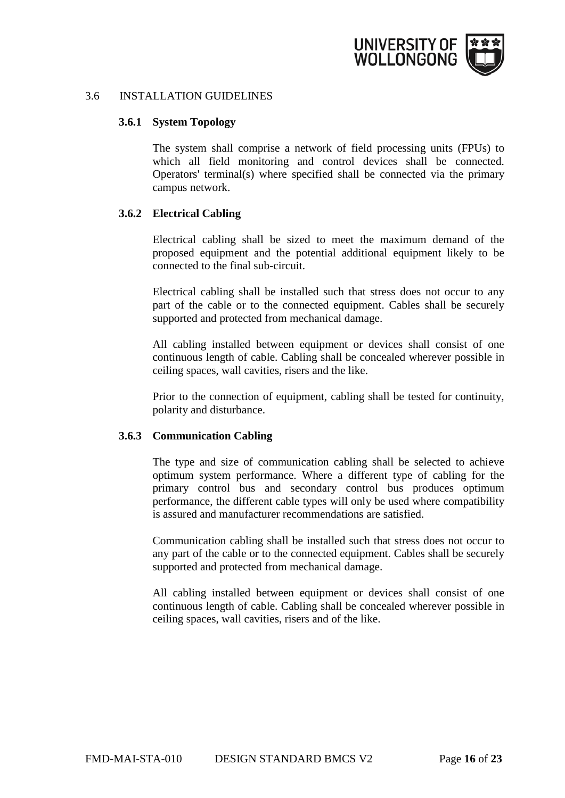

#### <span id="page-15-0"></span>3.6 INSTALLATION GUIDELINES

#### **3.6.1 System Topology**

The system shall comprise a network of field processing units (FPUs) to which all field monitoring and control devices shall be connected. Operators' terminal(s) where specified shall be connected via the primary campus network.

#### <span id="page-15-1"></span>**3.6.2 Electrical Cabling**

Electrical cabling shall be sized to meet the maximum demand of the proposed equipment and the potential additional equipment likely to be connected to the final sub-circuit.

Electrical cabling shall be installed such that stress does not occur to any part of the cable or to the connected equipment. Cables shall be securely supported and protected from mechanical damage.

All cabling installed between equipment or devices shall consist of one continuous length of cable. Cabling shall be concealed wherever possible in ceiling spaces, wall cavities, risers and the like.

Prior to the connection of equipment, cabling shall be tested for continuity, polarity and disturbance.

#### <span id="page-15-2"></span>**3.6.3 Communication Cabling**

The type and size of communication cabling shall be selected to achieve optimum system performance. Where a different type of cabling for the primary control bus and secondary control bus produces optimum performance, the different cable types will only be used where compatibility is assured and manufacturer recommendations are satisfied.

Communication cabling shall be installed such that stress does not occur to any part of the cable or to the connected equipment. Cables shall be securely supported and protected from mechanical damage.

All cabling installed between equipment or devices shall consist of one continuous length of cable. Cabling shall be concealed wherever possible in ceiling spaces, wall cavities, risers and of the like.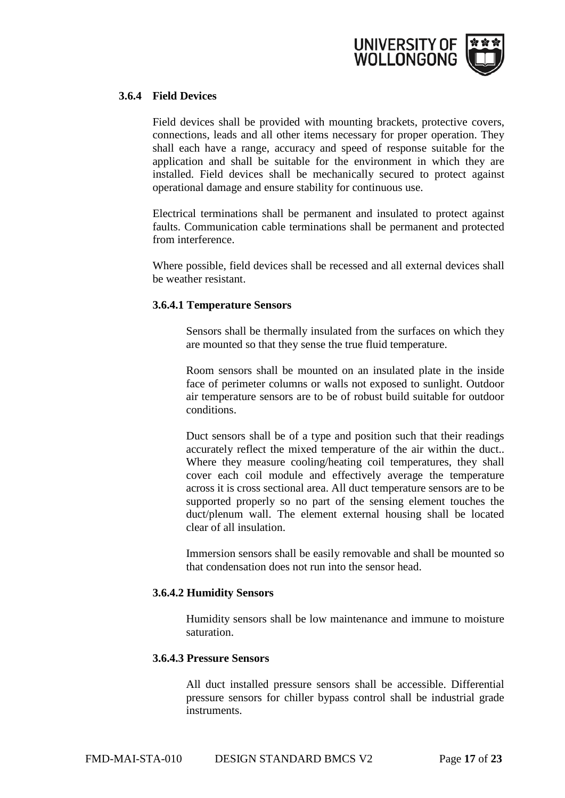

## <span id="page-16-0"></span>**3.6.4 Field Devices**

Field devices shall be provided with mounting brackets, protective covers, connections, leads and all other items necessary for proper operation. They shall each have a range, accuracy and speed of response suitable for the application and shall be suitable for the environment in which they are installed. Field devices shall be mechanically secured to protect against operational damage and ensure stability for continuous use.

Electrical terminations shall be permanent and insulated to protect against faults. Communication cable terminations shall be permanent and protected from interference.

Where possible, field devices shall be recessed and all external devices shall be weather resistant.

#### <span id="page-16-1"></span>**3.6.4.1 Temperature Sensors**

Sensors shall be thermally insulated from the surfaces on which they are mounted so that they sense the true fluid temperature.

Room sensors shall be mounted on an insulated plate in the inside face of perimeter columns or walls not exposed to sunlight. Outdoor air temperature sensors are to be of robust build suitable for outdoor conditions.

Duct sensors shall be of a type and position such that their readings accurately reflect the mixed temperature of the air within the duct.. Where they measure cooling/heating coil temperatures, they shall cover each coil module and effectively average the temperature across it is cross sectional area. All duct temperature sensors are to be supported properly so no part of the sensing element touches the duct/plenum wall. The element external housing shall be located clear of all insulation.

Immersion sensors shall be easily removable and shall be mounted so that condensation does not run into the sensor head.

#### <span id="page-16-2"></span>**3.6.4.2 Humidity Sensors**

Humidity sensors shall be low maintenance and immune to moisture saturation.

#### <span id="page-16-3"></span>**3.6.4.3 Pressure Sensors**

All duct installed pressure sensors shall be accessible. Differential pressure sensors for chiller bypass control shall be industrial grade instruments.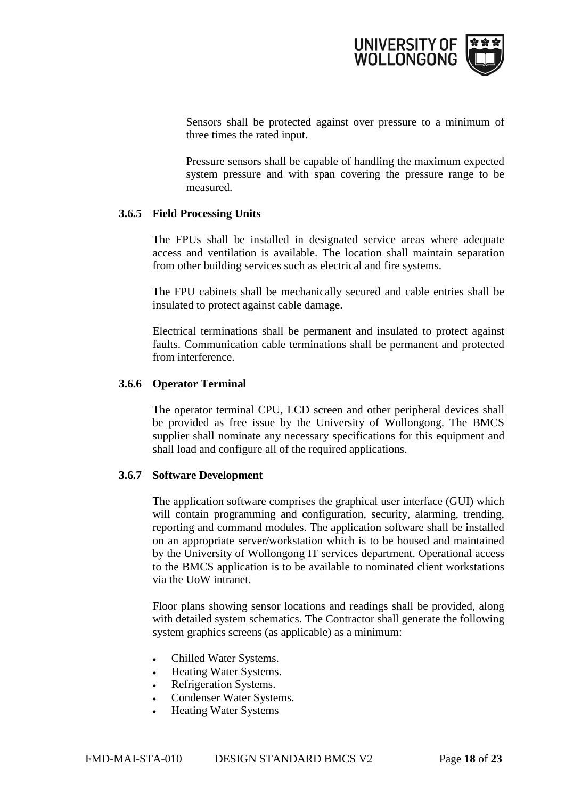

Sensors shall be protected against over pressure to a minimum of three times the rated input.

Pressure sensors shall be capable of handling the maximum expected system pressure and with span covering the pressure range to be measured.

#### <span id="page-17-0"></span>**3.6.5 Field Processing Units**

The FPUs shall be installed in designated service areas where adequate access and ventilation is available. The location shall maintain separation from other building services such as electrical and fire systems.

The FPU cabinets shall be mechanically secured and cable entries shall be insulated to protect against cable damage.

Electrical terminations shall be permanent and insulated to protect against faults. Communication cable terminations shall be permanent and protected from interference.

#### <span id="page-17-1"></span>**3.6.6 Operator Terminal**

The operator terminal CPU, LCD screen and other peripheral devices shall be provided as free issue by the University of Wollongong. The BMCS supplier shall nominate any necessary specifications for this equipment and shall load and configure all of the required applications.

#### <span id="page-17-2"></span>**3.6.7 Software Development**

The application software comprises the graphical user interface (GUI) which will contain programming and configuration, security, alarming, trending, reporting and command modules. The application software shall be installed on an appropriate server/workstation which is to be housed and maintained by the University of Wollongong IT services department. Operational access to the BMCS application is to be available to nominated client workstations via the UoW intranet.

Floor plans showing sensor locations and readings shall be provided, along with detailed system schematics. The Contractor shall generate the following system graphics screens (as applicable) as a minimum:

- Chilled Water Systems.
- Heating Water Systems.
- Refrigeration Systems.
- Condenser Water Systems.
- Heating Water Systems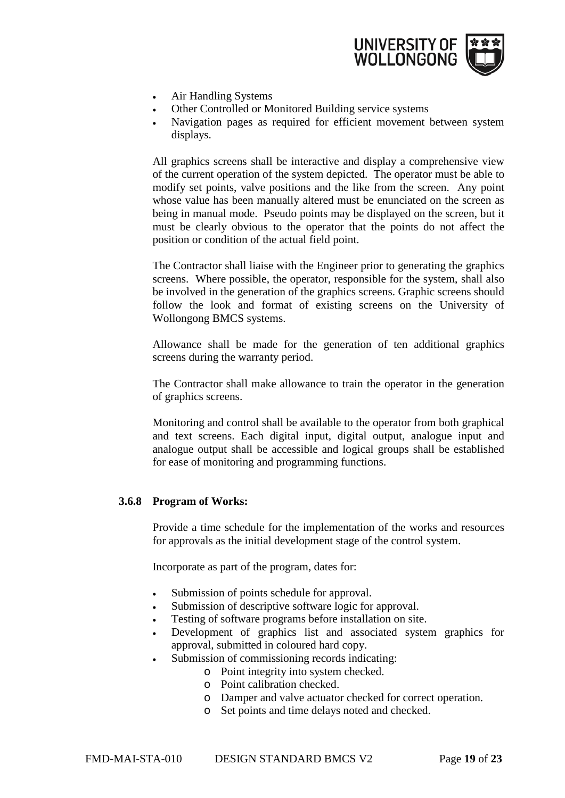

- Air Handling Systems
- Other Controlled or Monitored Building service systems
- Navigation pages as required for efficient movement between system displays.

All graphics screens shall be interactive and display a comprehensive view of the current operation of the system depicted. The operator must be able to modify set points, valve positions and the like from the screen. Any point whose value has been manually altered must be enunciated on the screen as being in manual mode. Pseudo points may be displayed on the screen, but it must be clearly obvious to the operator that the points do not affect the position or condition of the actual field point.

The Contractor shall liaise with the Engineer prior to generating the graphics screens. Where possible, the operator, responsible for the system, shall also be involved in the generation of the graphics screens. Graphic screens should follow the look and format of existing screens on the University of Wollongong BMCS systems.

Allowance shall be made for the generation of ten additional graphics screens during the warranty period.

The Contractor shall make allowance to train the operator in the generation of graphics screens.

Monitoring and control shall be available to the operator from both graphical and text screens. Each digital input, digital output, analogue input and analogue output shall be accessible and logical groups shall be established for ease of monitoring and programming functions.

#### <span id="page-18-0"></span>**3.6.8 Program of Works:**

Provide a time schedule for the implementation of the works and resources for approvals as the initial development stage of the control system.

Incorporate as part of the program, dates for:

- Submission of points schedule for approval.
- Submission of descriptive software logic for approval.
- Testing of software programs before installation on site.
- Development of graphics list and associated system graphics for approval, submitted in coloured hard copy.
- Submission of commissioning records indicating:
	- o Point integrity into system checked.
	- o Point calibration checked.
	- o Damper and valve actuator checked for correct operation.
	- o Set points and time delays noted and checked.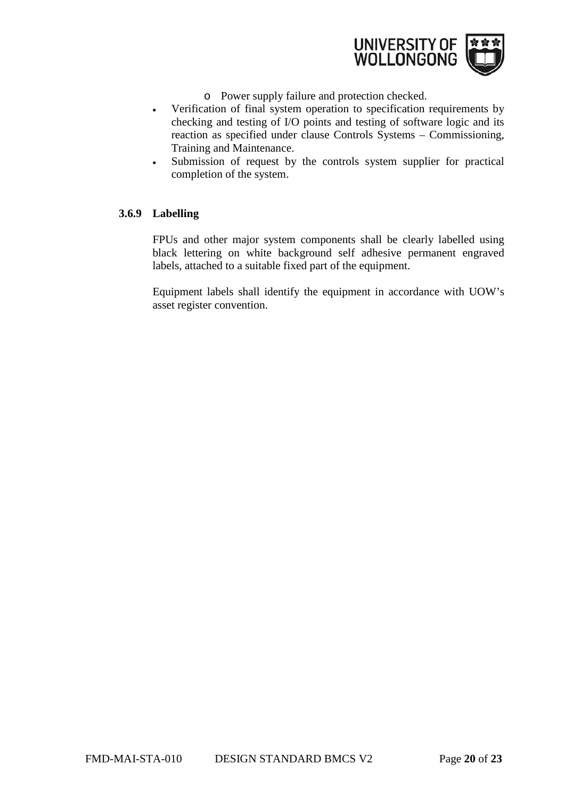

- o Power supply failure and protection checked.
- Verification of final system operation to specification requirements by checking and testing of I/O points and testing of software logic and its reaction as specified under clause Controls Systems – Commissioning, Training and Maintenance.
- Submission of request by the controls system supplier for practical completion of the system.

#### <span id="page-19-0"></span>**3.6.9 Labelling**

FPUs and other major system components shall be clearly labelled using black lettering on white background self adhesive permanent engraved labels, attached to a suitable fixed part of the equipment.

Equipment labels shall identify the equipment in accordance with UOW's asset register convention.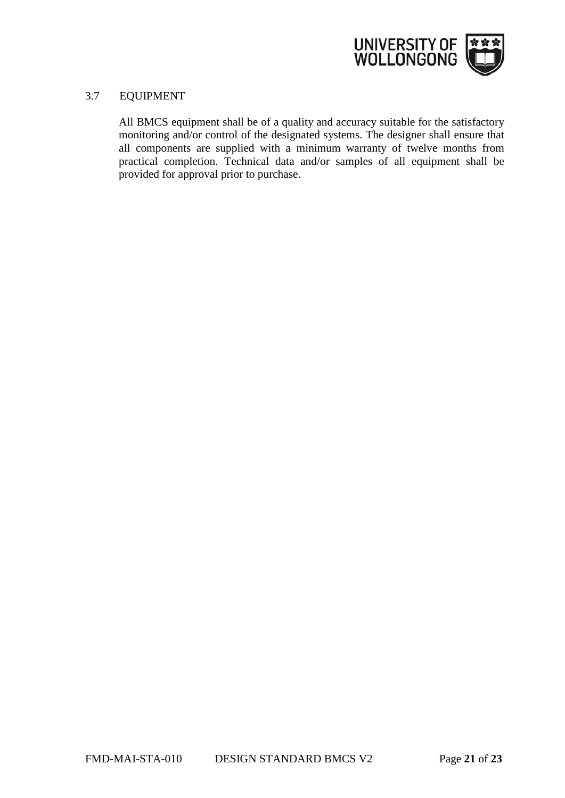

#### 3.7 EQUIPMENT

All BMCS equipment shall be of a quality and accuracy suitable for the satisfactory monitoring and/or control of the designated systems. The designer shall ensure that all components are supplied with a minimum warranty of twelve months from practical completion. Technical data and/or samples of all equipment shall be provided for approval prior to purchase.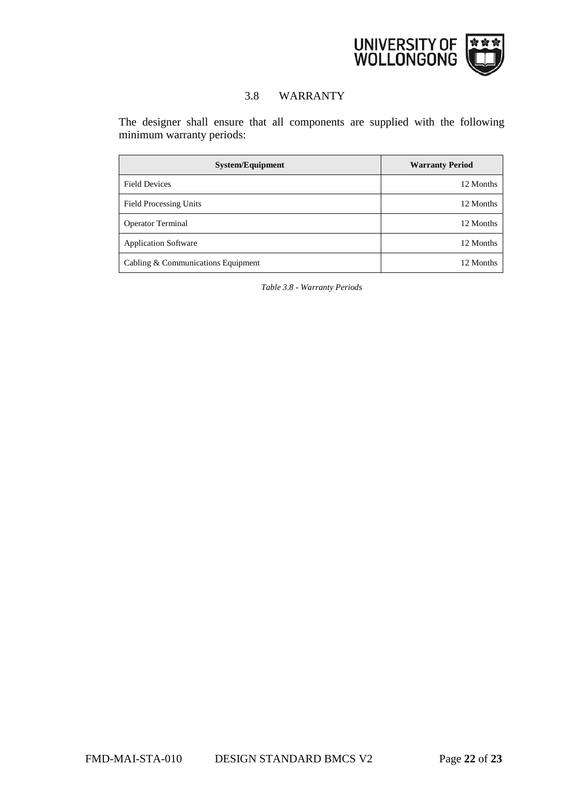

# 3.8 WARRANTY

The designer shall ensure that all components are supplied with the following minimum warranty periods:

| <b>System/Equipment</b>            | <b>Warranty Period</b> |
|------------------------------------|------------------------|
| <b>Field Devices</b>               | 12 Months              |
| <b>Field Processing Units</b>      | 12 Months              |
| <b>Operator Terminal</b>           | 12 Months              |
| <b>Application Software</b>        | 12 Months              |
| Cabling & Communications Equipment | 12 Months              |

*Table 3.8 - Warranty Periods*